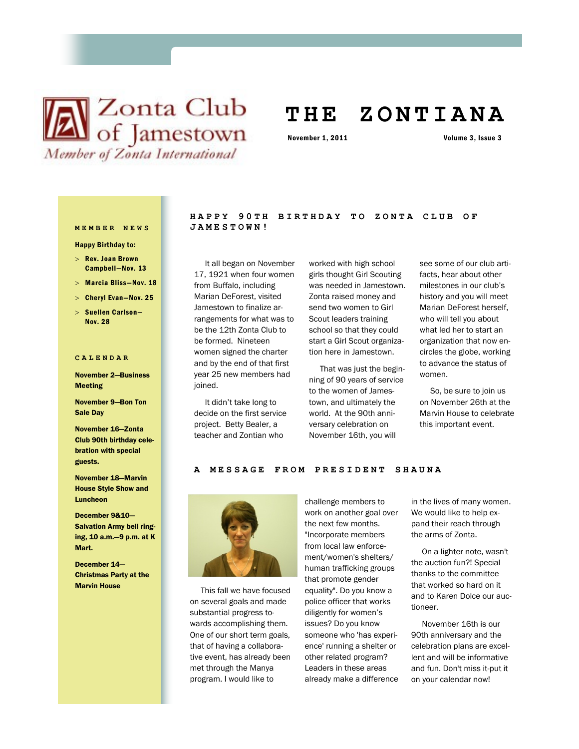# **X** Club of Jamestown Member of Zonta International

## **T H E Z O N T I A N A**

November 1, 2011 Volume 3, Issue 3

Happy Birthday to:

- $>$  Rev. Joan Brown Campbell—Nov. 13
- Marcia Bliss—Nov. 18
- Cheryl Evan—Nov. 25
- $>$  Suellen Carlson-Nov. 28

#### **CALENDAR**

November 2—Business Meeting

November 9—Bon Ton Sale Day

November 16—Zonta Club 90th birthday celebration with special guests.

November 18—Marvin House Style Show and Luncheon

December 9&10— Salvation Army bell ringing, 10 a.m.—9 p.m. at K Mart.

December 14— Christmas Party at the Marvin House

#### **HAPPY 90TH BIRTHDAY TO ZONTA CLUB OF MEMBER NEWS JAMESTOWN!**

 It all began on November 17, 1921 when four women from Buffalo, including Marian DeForest, visited Jamestown to finalize arrangements for what was to be the 12th Zonta Club to be formed. Nineteen women signed the charter and by the end of that first year 25 new members had joined.

 It didn't take long to decide on the first service project. Betty Bealer, a teacher and Zontian who

worked with high school girls thought Girl Scouting was needed in Jamestown. Zonta raised money and send two women to Girl Scout leaders training school so that they could start a Girl Scout organization here in Jamestown.

 That was just the beginning of 90 years of service to the women of Jamestown, and ultimately the world. At the 90th anniversary celebration on November 16th, you will

see some of our club artifacts, hear about other milestones in our club's history and you will meet Marian DeForest herself, who will tell you about what led her to start an organization that now encircles the globe, working to advance the status of women.

 So, be sure to join us on November 26th at the Marvin House to celebrate this important event.

#### A MESSAGE FROM PRESIDENT SHAUNA



 This fall we have focused on several goals and made substantial progress towards accomplishing them. One of our short term goals, that of having a collaborative event, has already been met through the Manya program. I would like to

challenge members to work on another goal over the next few months. "Incorporate members from local law enforcement/women's shelters/ human trafficking groups that promote gender equality". Do you know a police officer that works diligently for women's issues? Do you know someone who 'has experience' running a shelter or other related program? Leaders in these areas already make a difference

in the lives of many women. We would like to help expand their reach through the arms of Zonta.

 On a lighter note, wasn't the auction fun?! Special thanks to the committee that worked so hard on it and to Karen Dolce our auctioneer.

 November 16th is our 90th anniversary and the celebration plans are excellent and will be informative and fun. Don't miss it-put it on your calendar now!